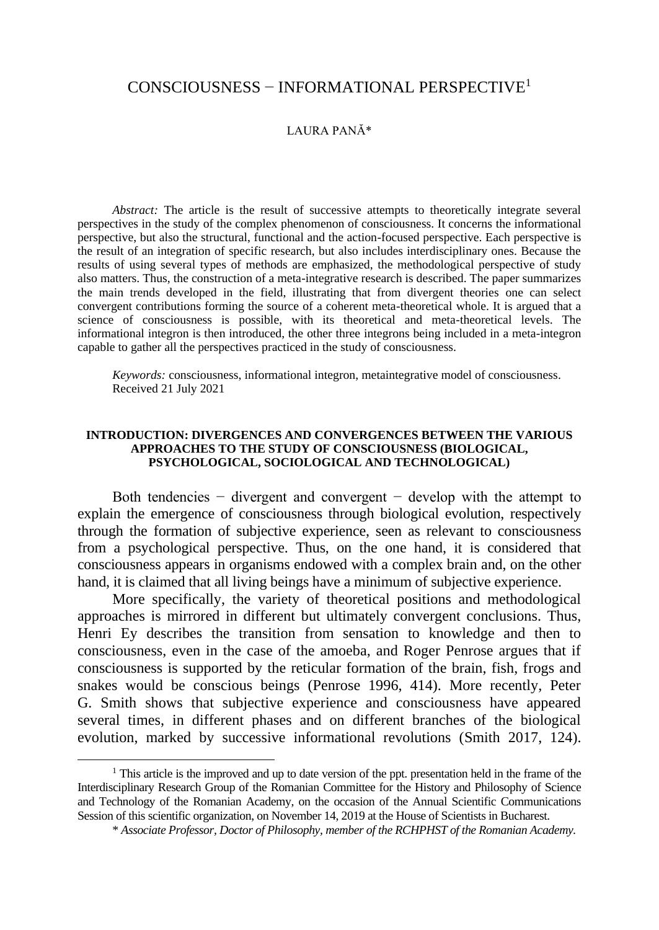## CONSCIOUSNESS − INFORMATIONAL PERSPECTIVE<sup>1</sup>

## LAURA PANĂ\*

*Abstract:* The article is the result of successive attempts to theoretically integrate several perspectives in the study of the complex phenomenon of consciousness. It concerns the informational perspective, but also the structural, functional and the action-focused perspective. Each perspective is the result of an integration of specific research, but also includes interdisciplinary ones. Because the results of using several types of methods are emphasized, the methodological perspective of study also matters. Thus, the construction of a meta-integrative research is described. The paper summarizes the main trends developed in the field, illustrating that from divergent theories one can select convergent contributions forming the source of a coherent meta-theoretical whole. It is argued that a science of consciousness is possible, with its theoretical and meta-theoretical levels. The informational integron is then introduced, the other three integrons being included in a meta-integron capable to gather all the perspectives practiced in the study of consciousness.

*Keywords:* consciousness, informational integron, metaintegrative model of consciousness. Received 21 July 2021

### **INTRODUCTION: DIVERGENCES AND CONVERGENCES BETWEEN THE VARIOUS APPROACHES TO THE STUDY OF CONSCIOUSNESS (BIOLOGICAL, PSYCHOLOGICAL, SOCIOLOGICAL AND TECHNOLOGICAL)**

Both tendencies  $-$  divergent and convergent  $-$  develop with the attempt to explain the emergence of consciousness through biological evolution, respectively through the formation of subjective experience, seen as relevant to consciousness from a psychological perspective. Thus, on the one hand, it is considered that consciousness appears in organisms endowed with a complex brain and, on the other hand, it is claimed that all living beings have a minimum of subjective experience.

More specifically, the variety of theoretical positions and methodological approaches is mirrored in different but ultimately convergent conclusions. Thus, Henri Ey describes the transition from sensation to knowledge and then to consciousness, even in the case of the amoeba, and Roger Penrose argues that if consciousness is supported by the reticular formation of the brain, fish, frogs and snakes would be conscious beings (Penrose 1996, 414). More recently, Peter G. Smith shows that subjective experience and consciousness have appeared several times, in different phases and on different branches of the biological evolution, marked by successive informational revolutions (Smith 2017, 124).

 $1$ <sup>1</sup> This article is the improved and up to date version of the ppt. presentation held in the frame of the Interdisciplinary Research Group of the Romanian Committee for the History and Philosophy of Science and Technology of the Romanian Academy, on the occasion of the Annual Scientific Communications Session of this scientific organization, on November 14, 2019 at the House of Scientists in Bucharest.

<sup>\*</sup> *Associate Professor, Doctor of Philosophy, member of the RCHPHST of the Romanian Academy.*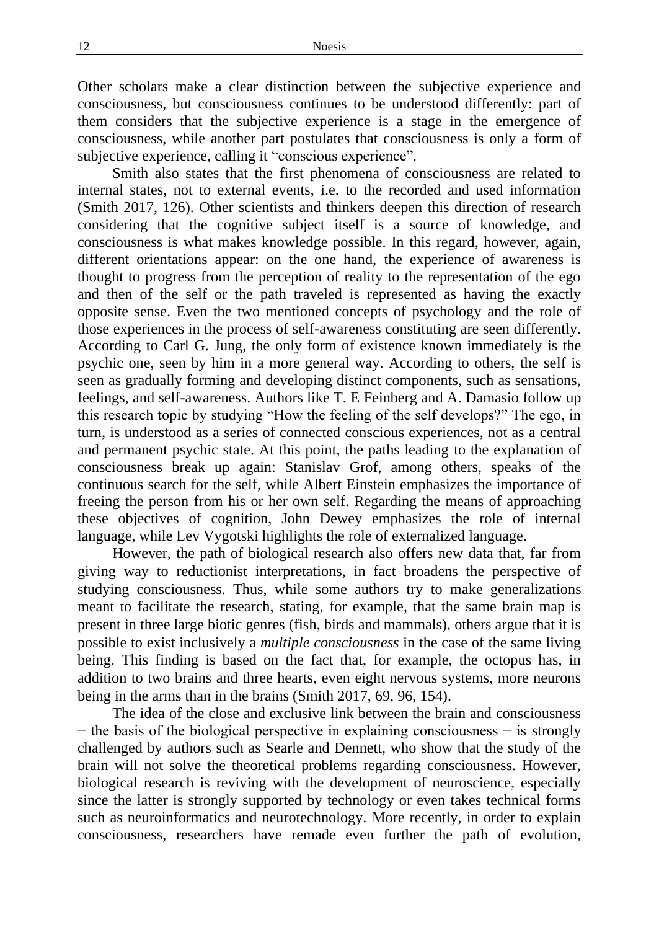Other scholars make a clear distinction between the subjective experience and consciousness, but consciousness continues to be understood differently: part of them considers that the subjective experience is a stage in the emergence of consciousness, while another part postulates that consciousness is only a form of subjective experience, calling it "conscious experience".

Smith also states that the first phenomena of consciousness are related to internal states, not to external events, i.e. to the recorded and used information (Smith 2017, 126). Other scientists and thinkers deepen this direction of research considering that the cognitive subject itself is a source of knowledge, and consciousness is what makes knowledge possible. In this regard, however, again, different orientations appear: on the one hand, the experience of awareness is thought to progress from the perception of reality to the representation of the ego and then of the self or the path traveled is represented as having the exactly opposite sense. Even the two mentioned concepts of psychology and the role of those experiences in the process of self-awareness constituting are seen differently. According to Carl G. Jung, the only form of existence known immediately is the psychic one, seen by him in a more general way. According to others, the self is seen as gradually forming and developing distinct components, such as sensations, feelings, and self-awareness. Authors like T. E Feinberg and A. Damasio follow up this research topic by studying "How the feeling of the self develops?" The ego, in turn, is understood as a series of connected conscious experiences, not as a central and permanent psychic state. At this point, the paths leading to the explanation of consciousness break up again: Stanislav Grof, among others, speaks of the continuous search for the self, while Albert Einstein emphasizes the importance of freeing the person from his or her own self. Regarding the means of approaching these objectives of cognition, John Dewey emphasizes the role of internal language, while Lev Vygotski highlights the role of externalized language.

However, the path of biological research also offers new data that, far from giving way to reductionist interpretations, in fact broadens the perspective of studying consciousness. Thus, while some authors try to make generalizations meant to facilitate the research, stating, for example, that the same brain map is present in three large biotic genres (fish, birds and mammals), others argue that it is possible to exist inclusively a *multiple consciousness* in the case of the same living being. This finding is based on the fact that, for example, the octopus has, in addition to two brains and three hearts, even eight nervous systems, more neurons being in the arms than in the brains (Smith 2017, 69, 96, 154).

The idea of the close and exclusive link between the brain and consciousness − the basis of the biological perspective in explaining consciousness − is strongly challenged by authors such as Searle and Dennett, who show that the study of the brain will not solve the theoretical problems regarding consciousness. However, biological research is reviving with the development of neuroscience, especially since the latter is strongly supported by technology or even takes technical forms such as neuroinformatics and neurotechnology. More recently, in order to explain consciousness, researchers have remade even further the path of evolution,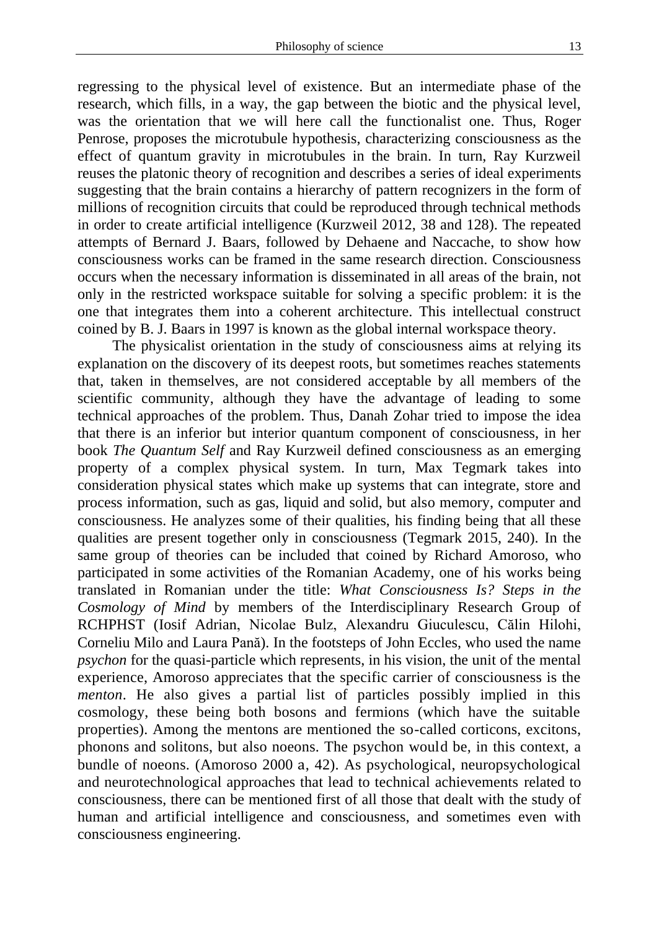regressing to the physical level of existence. But an intermediate phase of the research, which fills, in a way, the gap between the biotic and the physical level, was the orientation that we will here call the functionalist one. Thus, Roger Penrose, proposes the microtubule hypothesis, characterizing consciousness as the effect of quantum gravity in microtubules in the brain. In turn, Ray Kurzweil reuses the platonic theory of recognition and describes a series of ideal experiments suggesting that the brain contains a hierarchy of pattern recognizers in the form of millions of recognition circuits that could be reproduced through technical methods in order to create artificial intelligence (Kurzweil 2012, 38 and 128). The repeated attempts of Bernard J. Baars, followed by Dehaene and Naccache, to show how consciousness works can be framed in the same research direction. Consciousness occurs when the necessary information is disseminated in all areas of the brain, not only in the restricted workspace suitable for solving a specific problem: it is the one that integrates them into a coherent architecture. This intellectual construct coined by B. J. Baars in 1997 is known as the global internal workspace theory.

The physicalist orientation in the study of consciousness aims at relying its explanation on the discovery of its deepest roots, but sometimes reaches statements that, taken in themselves, are not considered acceptable by all members of the scientific community, although they have the advantage of leading to some technical approaches of the problem. Thus, Danah Zohar tried to impose the idea that there is an inferior but interior quantum component of consciousness, in her book *The Quantum Self* and Ray Kurzweil defined consciousness as an emerging property of a complex physical system. In turn, Max Tegmark takes into consideration physical states which make up systems that can integrate, store and process information, such as gas, liquid and solid, but also memory, computer and consciousness. He analyzes some of their qualities, his finding being that all these qualities are present together only in consciousness (Tegmark 2015, 240). In the same group of theories can be included that coined by Richard Amoroso, who participated in some activities of the Romanian Academy, one of his works being translated in Romanian under the title: *What Consciousness Is? Steps in the Cosmology of Mind* by members of the Interdisciplinary Research Group of RCHPHST (Iosif Adrian, Nicolae Bulz, Alexandru Giuculescu, Călin Hilohi, Corneliu Milo and Laura Pană). In the footsteps of John Eccles, who used the name *psychon* for the quasi-particle which represents, in his vision, the unit of the mental experience, Amoroso appreciates that the specific carrier of consciousness is the *menton*. He also gives a partial list of particles possibly implied in this cosmology, these being both bosons and fermions (which have the suitable properties). Among the mentons are mentioned the so-called corticons, excitons, phonons and solitons, but also noeons. The psychon would be, in this context, a bundle of noeons. (Amoroso 2000 a, 42). As psychological, neuropsychological and neurotechnological approaches that lead to technical achievements related to consciousness, there can be mentioned first of all those that dealt with the study of human and artificial intelligence and consciousness, and sometimes even with consciousness engineering.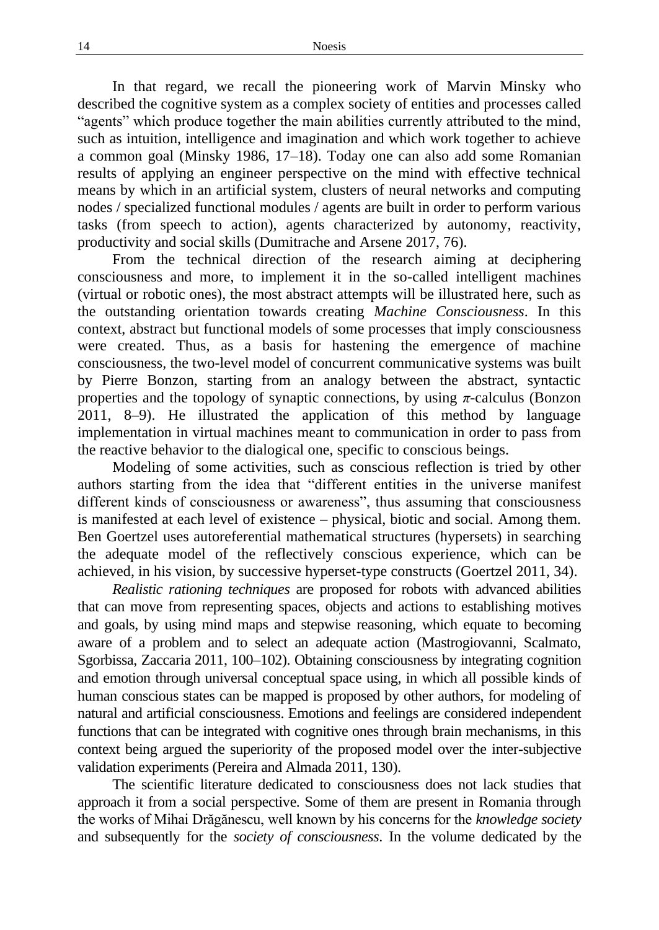In that regard, we recall the pioneering work of Marvin Minsky who described the cognitive system as a complex society of entities and processes called "agents" which produce together the main abilities currently attributed to the mind, such as intuition, intelligence and imagination and which work together to achieve a common goal (Minsky 1986, 17–18). Today one can also add some Romanian results of applying an engineer perspective on the mind with effective technical means by which in an artificial system, clusters of neural networks and computing nodes / specialized functional modules / agents are built in order to perform various tasks (from speech to action), agents characterized by autonomy, reactivity, productivity and social skills (Dumitrache and Arsene 2017, 76).

From the technical direction of the research aiming at deciphering consciousness and more, to implement it in the so-called intelligent machines (virtual or robotic ones), the most abstract attempts will be illustrated here, such as the outstanding orientation towards creating *Machine Consciousness*. In this context, abstract but functional models of some processes that imply consciousness were created. Thus, as a basis for hastening the emergence of machine consciousness*,* the two-level model of concurrent communicative systems was built by Pierre Bonzon, starting from an analogy between the abstract, syntactic properties and the topology of synaptic connections, by using *π*-calculus (Bonzon 2011, 8–9). He illustrated the application of this method by language implementation in virtual machines meant to communication in order to pass from the reactive behavior to the dialogical one, specific to conscious beings.

Modeling of some activities, such as conscious reflection is tried by other authors starting from the idea that "different entities in the universe manifest different kinds of consciousness or awareness", thus assuming that consciousness is manifested at each level of existence – physical, biotic and social. Among them. Ben Goertzel uses autoreferential mathematical structures (hypersets) in searching the adequate model of the reflectively conscious experience, which can be achieved, in his vision, by successive hyperset-type constructs (Goertzel 2011, 34).

*Realistic rationing techniques* are proposed for robots with advanced abilities that can move from representing spaces, objects and actions to establishing motives and goals, by using mind maps and stepwise reasoning, which equate to becoming aware of a problem and to select an adequate action (Mastrogiovanni, Scalmato, Sgorbissa, Zaccaria 2011, 100–102). Obtaining consciousness by integrating cognition and emotion through universal conceptual space using, in which all possible kinds of human conscious states can be mapped is proposed by other authors, for modeling of natural and artificial consciousness. Emotions and feelings are considered independent functions that can be integrated with cognitive ones through brain mechanisms, in this context being argued the superiority of the proposed model over the inter-subjective validation experiments (Pereira and Almada 2011, 130).

The scientific literature dedicated to consciousness does not lack studies that approach it from a social perspective. Some of them are present in Romania through the works of Mihai Drăgănescu, well known by his concerns for the *knowledge society* and subsequently for the *society of consciousness*. In the volume dedicated by the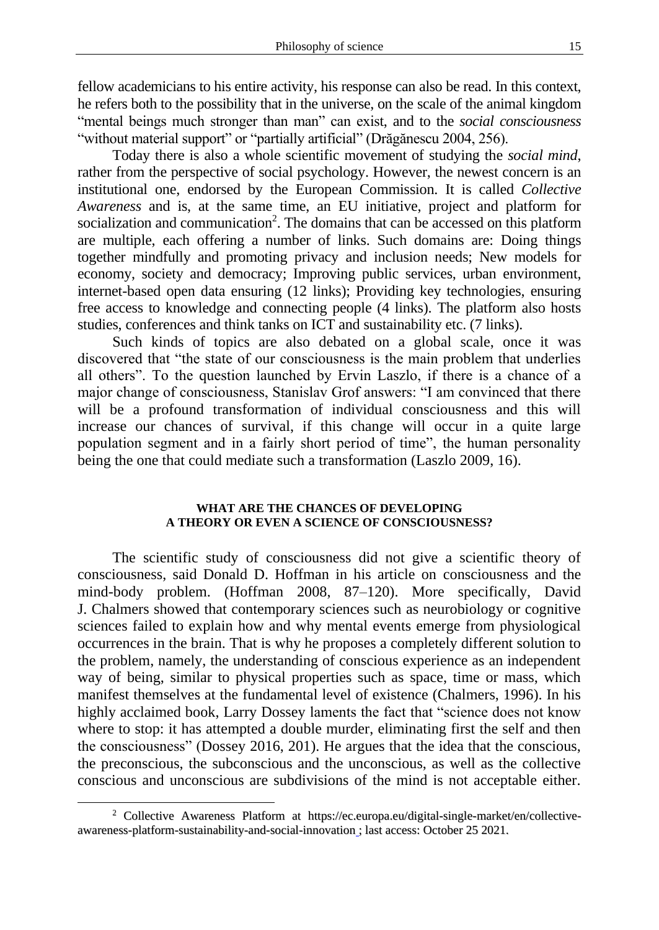fellow academicians to his entire activity, his response can also be read. In this context, he refers both to the possibility that in the universe, on the scale of the animal kingdom "mental beings much stronger than man" can exist, and to the *social consciousness* "without material support" or "partially artificial" (Drăgănescu 2004, 256).

Today there is also a whole scientific movement of studying the *social mind*, rather from the perspective of social psychology. However, the newest concern is an institutional one, endorsed by the European Commission. It is called *Collective Awareness* and is, at the same time, an EU initiative, project and platform for socialization and communication<sup>2</sup>. The domains that can be accessed on this platform are multiple, each offering a number of links. Such domains are: Doing things together mindfully and promoting privacy and inclusion needs; New models for economy, society and democracy; Improving public services, urban environment, internet-based open data ensuring (12 links); Providing key technologies, ensuring free access to knowledge and connecting people (4 links). The platform also hosts studies, conferences and think tanks on ICT and sustainability etc. (7 links).

Such kinds of topics are also debated on a global scale, once it was discovered that "the state of our consciousness is the main problem that underlies all others". To the question launched by Ervin Laszlo, if there is a chance of a major change of consciousness, Stanislav Grof answers: "I am convinced that there will be a profound transformation of individual consciousness and this will increase our chances of survival, if this change will occur in a quite large population segment and in a fairly short period of time", the human personality being the one that could mediate such a transformation (Laszlo 2009, 16).

#### **WHAT ARE THE CHANCES OF DEVELOPING A THEORY OR EVEN A SCIENCE OF CONSCIOUSNESS?**

The scientific study of consciousness did not give a scientific theory of consciousness, said Donald D. Hoffman in his article on consciousness and the mind-body problem. (Hoffman 2008, 87–120). More specifically, David J. Chalmers showed that contemporary sciences such as neurobiology or cognitive sciences failed to explain how and why mental events emerge from physiological occurrences in the brain. That is why he proposes a completely different solution to the problem, namely, the understanding of conscious experience as an independent way of being, similar to physical properties such as space, time or mass, which manifest themselves at the fundamental level of existence (Chalmers, 1996). In his highly acclaimed book, Larry Dossey laments the fact that "science does not know where to stop: it has attempted a double murder, eliminating first the self and then the consciousness" (Dossey 2016, 201). He argues that the idea that the conscious, the preconscious, the subconscious and the unconscious, as well as the collective conscious and unconscious are subdivisions of the mind is not acceptable either.

<sup>2</sup> Collective Awareness Platform at https://ec.europa.eu/digital-single-market/en/collectiveawareness-platform-sustainability-and-social-innovation ; last access: October 25 2021.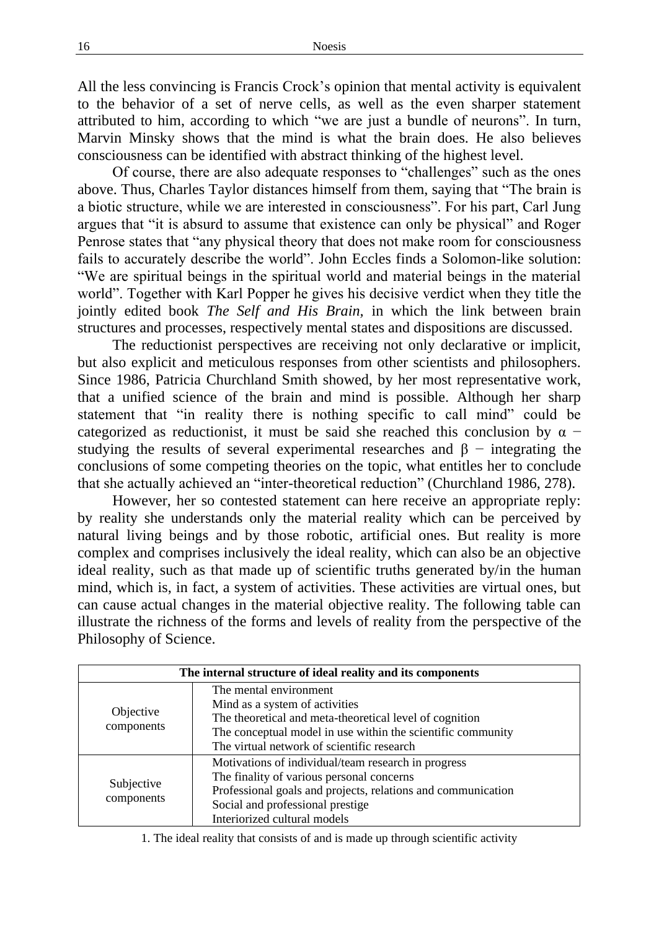All the less convincing is Francis Crock's opinion that mental activity is equivalent to the behavior of a set of nerve cells, as well as the even sharper statement attributed to him, according to which "we are just a bundle of neurons". In turn, Marvin Minsky shows that the mind is what the brain does. He also believes consciousness can be identified with abstract thinking of the highest level.

Of course, there are also adequate responses to "challenges" such as the ones above. Thus, Charles Taylor distances himself from them, saying that "The brain is a biotic structure, while we are interested in consciousness". For his part, Carl Jung argues that "it is absurd to assume that existence can only be physical" and Roger Penrose states that "any physical theory that does not make room for consciousness fails to accurately describe the world". John Eccles finds a Solomon-like solution: "We are spiritual beings in the spiritual world and material beings in the material world". Together with Karl Popper he gives his decisive verdict when they title the jointly edited book *The Self and His Brain,* in which the link between brain structures and processes, respectively mental states and dispositions are discussed.

The reductionist perspectives are receiving not only declarative or implicit, but also explicit and meticulous responses from other scientists and philosophers. Since 1986, Patricia Churchland Smith showed, by her most representative work, that a unified science of the brain and mind is possible. Although her sharp statement that "in reality there is nothing specific to call mind" could be categorized as reductionist, it must be said she reached this conclusion by  $\alpha$  − studying the results of several experimental researches and  $\beta$  – integrating the conclusions of some competing theories on the topic, what entitles her to conclude that she actually achieved an "inter-theoretical reduction" (Churchland 1986, 278).

However, her so contested statement can here receive an appropriate reply: by reality she understands only the material reality which can be perceived by natural living beings and by those robotic, artificial ones. But reality is more complex and comprises inclusively the ideal reality, which can also be an objective ideal reality, such as that made up of scientific truths generated by/in the human mind, which is, in fact, a system of activities. These activities are virtual ones, but can cause actual changes in the material objective reality. The following table can illustrate the richness of the forms and levels of reality from the perspective of the Philosophy of Science.

| The internal structure of ideal reality and its components |                                                              |  |  |  |  |  |
|------------------------------------------------------------|--------------------------------------------------------------|--|--|--|--|--|
| Objective<br>components                                    | The mental environment                                       |  |  |  |  |  |
|                                                            | Mind as a system of activities                               |  |  |  |  |  |
|                                                            | The theoretical and meta-theoretical level of cognition      |  |  |  |  |  |
|                                                            | The conceptual model in use within the scientific community  |  |  |  |  |  |
|                                                            | The virtual network of scientific research                   |  |  |  |  |  |
| Subjective<br>components                                   | Motivations of individual/team research in progress          |  |  |  |  |  |
|                                                            | The finality of various personal concerns                    |  |  |  |  |  |
|                                                            | Professional goals and projects, relations and communication |  |  |  |  |  |
|                                                            | Social and professional prestige                             |  |  |  |  |  |
|                                                            | Interiorized cultural models                                 |  |  |  |  |  |

1. The ideal reality that consists of and is made up through scientific activity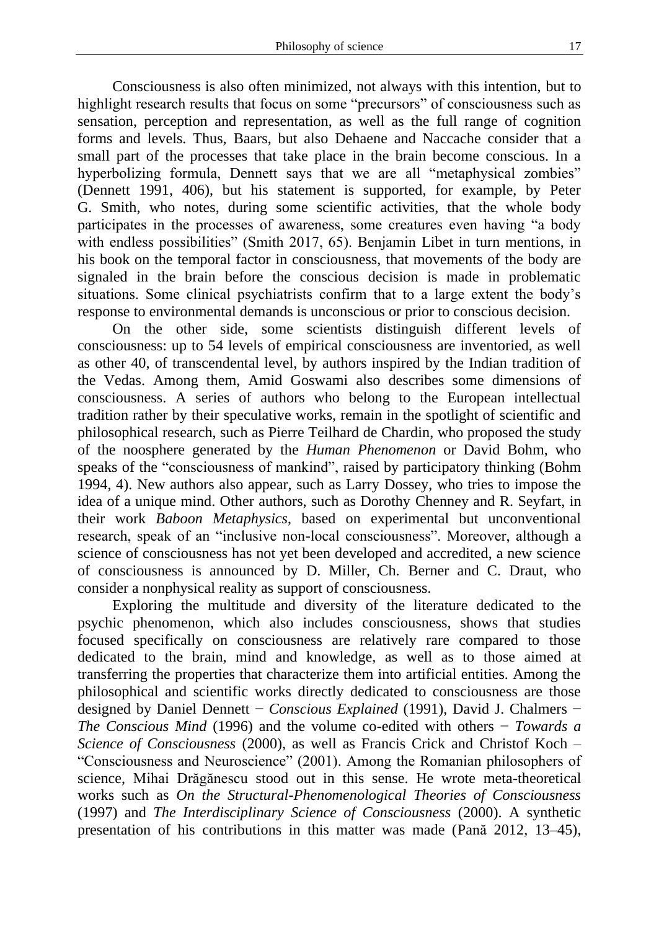Consciousness is also often minimized, not always with this intention, but to highlight research results that focus on some "precursors" of consciousness such as sensation, perception and representation, as well as the full range of cognition forms and levels. Thus, Baars, but also Dehaene and Naccache consider that a small part of the processes that take place in the brain become conscious. In a hyperbolizing formula, Dennett says that we are all "metaphysical zombies" (Dennett 1991, 406), but his statement is supported, for example, by Peter G. Smith, who notes, during some scientific activities, that the whole body participates in the processes of awareness, some creatures even having "a body with endless possibilities" (Smith 2017, 65). Benjamin Libet in turn mentions, in his book on the temporal factor in consciousness, that movements of the body are signaled in the brain before the conscious decision is made in problematic situations. Some clinical psychiatrists confirm that to a large extent the body's response to environmental demands is unconscious or prior to conscious decision.

On the other side, some scientists distinguish different levels of consciousness: up to 54 levels of empirical consciousness are inventoried, as well as other 40, of transcendental level, by authors inspired by the Indian tradition of the Vedas. Among them, Amid Goswami also describes some dimensions of consciousness. A series of authors who belong to the European intellectual tradition rather by their speculative works, remain in the spotlight of scientific and philosophical research, such as Pierre Teilhard de Chardin, who proposed the study of the noosphere generated by the *Human Phenomenon* or David Bohm, who speaks of the "consciousness of mankind", raised by participatory thinking (Bohm 1994, 4). New authors also appear, such as Larry Dossey, who tries to impose the idea of a unique mind. Other authors, such as Dorothy Chenney and R. Seyfart, in their work *Baboon Metaphysics*, based on experimental but unconventional research, speak of an "inclusive non-local consciousness". Moreover, although a science of consciousness has not yet been developed and accredited, a new science of consciousness is announced by D. Miller, Ch. Berner and C. Draut, who consider a nonphysical reality as support of consciousness.

Exploring the multitude and diversity of the literature dedicated to the psychic phenomenon, which also includes consciousness, shows that studies focused specifically on consciousness are relatively rare compared to those dedicated to the brain, mind and knowledge, as well as to those aimed at transferring the properties that characterize them into artificial entities. Among the philosophical and scientific works directly dedicated to consciousness are those designed by Daniel Dennett − *Conscious Explained* (1991), David J. Chalmers − *The Conscious Mind* (1996) and the volume co-edited with others − *Towards a Science of Consciousness* (2000), as well as Francis Crick and Christof Koch – "Consciousness and Neuroscience" (2001). Among the Romanian philosophers of science, Mihai Drăgănescu stood out in this sense. He wrote meta-theoretical works such as *On the Structural-Phenomenological Theories of Consciousness* (1997) and *The Interdisciplinary Science of Consciousness* (2000). A synthetic presentation of his contributions in this matter was made (Pană 2012, 13–45),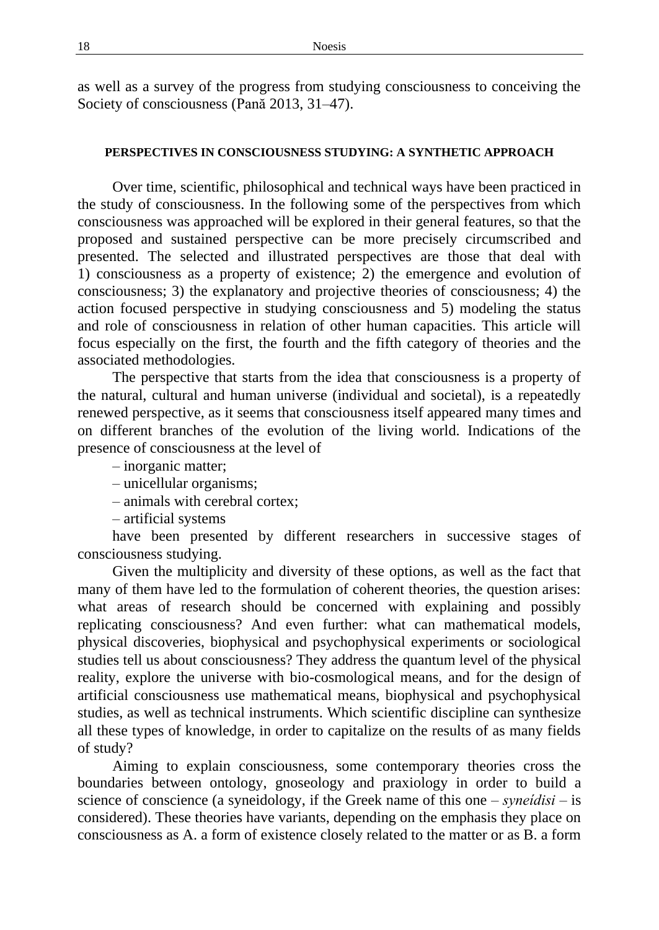as well as a survey of the progress from studying consciousness to conceiving the Society of consciousness (Pană 2013, 31–47).

## **PERSPECTIVES IN CONSCIOUSNESS STUDYING: A SYNTHETIC APPROACH**

Over time, scientific, philosophical and technical ways have been practiced in the study of consciousness. In the following some of the perspectives from which consciousness was approached will be explored in their general features, so that the proposed and sustained perspective can be more precisely circumscribed and presented. The selected and illustrated perspectives are those that deal with 1) consciousness as a property of existence; 2) the emergence and evolution of consciousness; 3) the explanatory and projective theories of consciousness; 4) the action focused perspective in studying consciousness and 5) modeling the status and role of consciousness in relation of other human capacities. This article will focus especially on the first, the fourth and the fifth category of theories and the associated methodologies.

The perspective that starts from the idea that consciousness is a property of the natural, cultural and human universe (individual and societal), is a repeatedly renewed perspective, as it seems that consciousness itself appeared many times and on different branches of the evolution of the living world. Indications of the presence of consciousness at the level of

- inorganic matter;
- unicellular organisms;
- animals with cerebral cortex;
- artificial systems

have been presented by different researchers in successive stages of consciousness studying.

Given the multiplicity and diversity of these options, as well as the fact that many of them have led to the formulation of coherent theories, the question arises: what areas of research should be concerned with explaining and possibly replicating consciousness? And even further: what can mathematical models, physical discoveries, biophysical and psychophysical experiments or sociological studies tell us about consciousness? They address the quantum level of the physical reality, explore the universe with bio-cosmological means, and for the design of artificial consciousness use mathematical means, biophysical and psychophysical studies, as well as technical instruments. Which scientific discipline can synthesize all these types of knowledge, in order to capitalize on the results of as many fields of study?

Aiming to explain consciousness, some contemporary theories cross the boundaries between ontology, gnoseology and praxiology in order to build a science of conscience (a syneidology, if the Greek name of this one – *syneίdisi* – is considered). These theories have variants, depending on the emphasis they place on consciousness as A. a form of existence closely related to the matter or as B. a form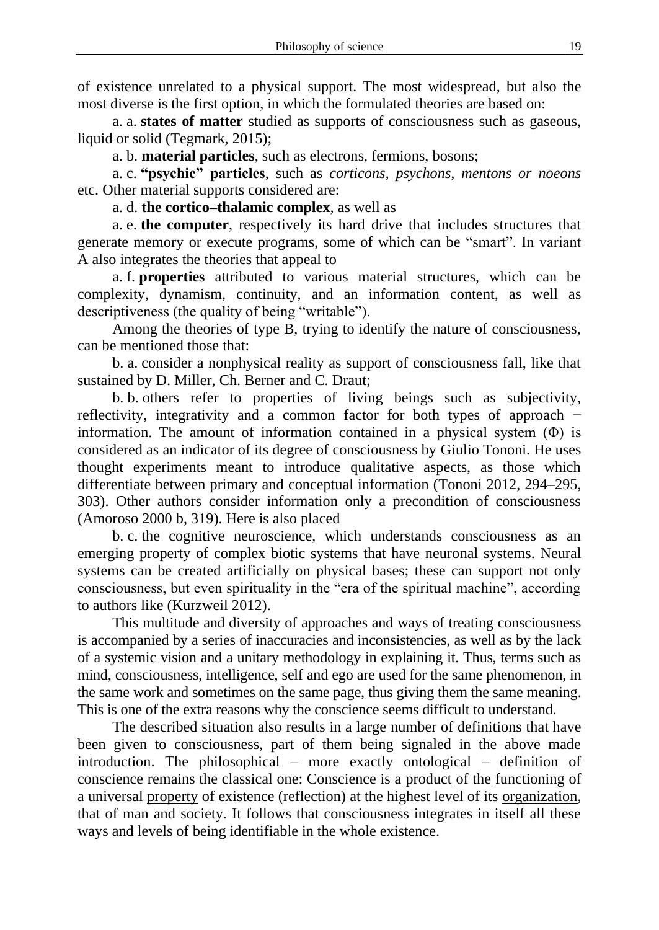of existence unrelated to a physical support. The most widespread, but also the most diverse is the first option, in which the formulated theories are based on:

a. a. **states of matter** studied as supports of consciousness such as gaseous, liquid or solid (Tegmark, 2015);

a. b. **material particles**, such as electrons, fermions, bosons;

a. c. **"psychic" particles**, such as *corticons, psychons, mentons or noeons* etc. Other material supports considered are:

a. d. **the cortico–thalamic complex**, as well as

a. e. **the computer**, respectively its hard drive that includes structures that generate memory or execute programs, some of which can be "smart". In variant A also integrates the theories that appeal to

a. f. **properties** attributed to various material structures, which can be complexity, dynamism, continuity, and an information content, as well as descriptiveness (the quality of being "writable").

Among the theories of type B, trying to identify the nature of consciousness, can be mentioned those that:

b. a. consider a nonphysical reality as support of consciousness fall, like that sustained by D. Miller, Ch. Berner and C. Draut;

b. b. others refer to properties of living beings such as subjectivity, reflectivity, integrativity and a common factor for both types of approach − information. The amount of information contained in a physical system  $(\Phi)$  is considered as an indicator of its degree of consciousness by Giulio Tononi. He uses thought experiments meant to introduce qualitative aspects, as those which differentiate between primary and conceptual information (Tononi 2012, 294–295, 303). Other authors consider information only a precondition of consciousness (Amoroso 2000 b, 319). Here is also placed

b. c. the cognitive neuroscience, which understands consciousness as an emerging property of complex biotic systems that have neuronal systems. Neural systems can be created artificially on physical bases; these can support not only consciousness, but even spirituality in the "era of the spiritual machine", according to authors like (Kurzweil 2012).

This multitude and diversity of approaches and ways of treating consciousness is accompanied by a series of inaccuracies and inconsistencies, as well as by the lack of a systemic vision and a unitary methodology in explaining it. Thus, terms such as mind, consciousness, intelligence, self and ego are used for the same phenomenon, in the same work and sometimes on the same page, thus giving them the same meaning. This is one of the extra reasons why the conscience seems difficult to understand.

The described situation also results in a large number of definitions that have been given to consciousness, part of them being signaled in the above made introduction. The philosophical – more exactly ontological – definition of conscience remains the classical one: Conscience is a product of the functioning of a universal property of existence (reflection) at the highest level of its organization, that of man and society. It follows that consciousness integrates in itself all these ways and levels of being identifiable in the whole existence.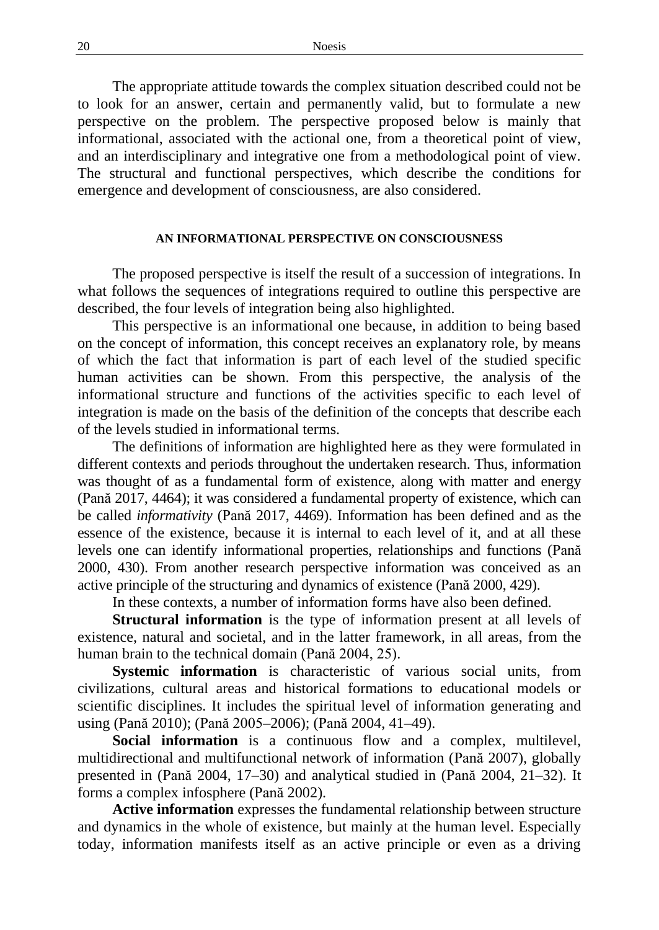The appropriate attitude towards the complex situation described could not be to look for an answer, certain and permanently valid, but to formulate a new perspective on the problem. The perspective proposed below is mainly that informational, associated with the actional one, from a theoretical point of view, and an interdisciplinary and integrative one from a methodological point of view. The structural and functional perspectives, which describe the conditions for emergence and development of consciousness, are also considered.

#### **AN INFORMATIONAL PERSPECTIVE ON CONSCIOUSNESS**

The proposed perspective is itself the result of a succession of integrations. In what follows the sequences of integrations required to outline this perspective are described, the four levels of integration being also highlighted.

This perspective is an informational one because, in addition to being based on the concept of information, this concept receives an explanatory role, by means of which the fact that information is part of each level of the studied specific human activities can be shown. From this perspective, the analysis of the informational structure and functions of the activities specific to each level of integration is made on the basis of the definition of the concepts that describe each of the levels studied in informational terms.

The definitions of information are highlighted here as they were formulated in different contexts and periods throughout the undertaken research. Thus, information was thought of as a fundamental form of existence, along with matter and energy (Pană 2017, 4464); it was considered a fundamental property of existence, which can be called *informativity* (Pană 2017, 4469). Information has been defined and as the essence of the existence, because it is internal to each level of it, and at all these levels one can identify informational properties, relationships and functions (Pană 2000, 430). From another research perspective information was conceived as an active principle of the structuring and dynamics of existence (Pană 2000, 429).

In these contexts, a number of information forms have also been defined.

**Structural information** is the type of information present at all levels of existence, natural and societal, and in the latter framework, in all areas, from the human brain to the technical domain (Pană 2004, 25).

**Systemic information** is characteristic of various social units, from civilizations, cultural areas and historical formations to educational models or scientific disciplines. It includes the spiritual level of information generating and using (Pană 2010); (Pană 2005–2006); (Pană 2004, 41–49).

**Social information** is a continuous flow and a complex, multilevel, multidirectional and multifunctional network of information (Pană 2007), globally presented in (Pană 2004, 17–30) and analytical studied in (Pană 2004, 21–32). It forms a complex infosphere (Pană 2002).

**Active information** expresses the fundamental relationship between structure and dynamics in the whole of existence, but mainly at the human level. Especially today, information manifests itself as an active principle or even as a driving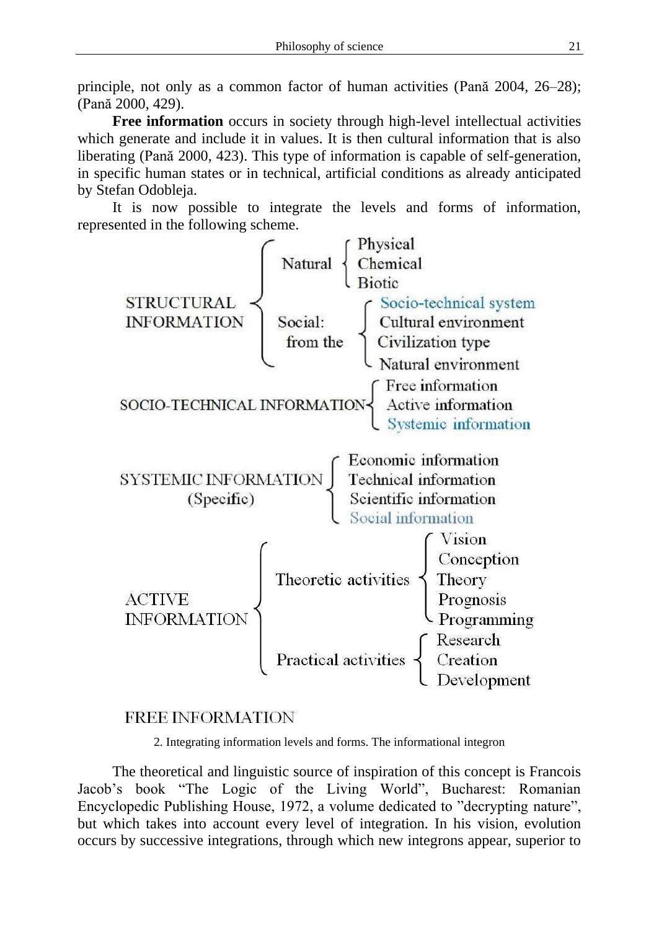principle, not only as a common factor of human activities (Pană 2004, 26–28); (Pană 2000, 429).

**Free information** occurs in society through high-level intellectual activities which generate and include it in values. It is then cultural information that is also liberating (Pană 2000, 423). This type of information is capable of self-generation, in specific human states or in technical, artificial conditions as already anticipated by Stefan Odobleja.

represented in the following scheme.



# **FREE INFORMATION**

2. Integrating information levels and forms. The informational integron

The theoretical and linguistic source of inspiration of this concept is Francois Jacob's book "The Logic of the Living World", Bucharest: Romanian Encyclopedic Publishing House, 1972, a volume dedicated to "decrypting nature", but which takes into account every level of integration. In his vision, evolution occurs by successive integrations, through which new integrons appear, superior to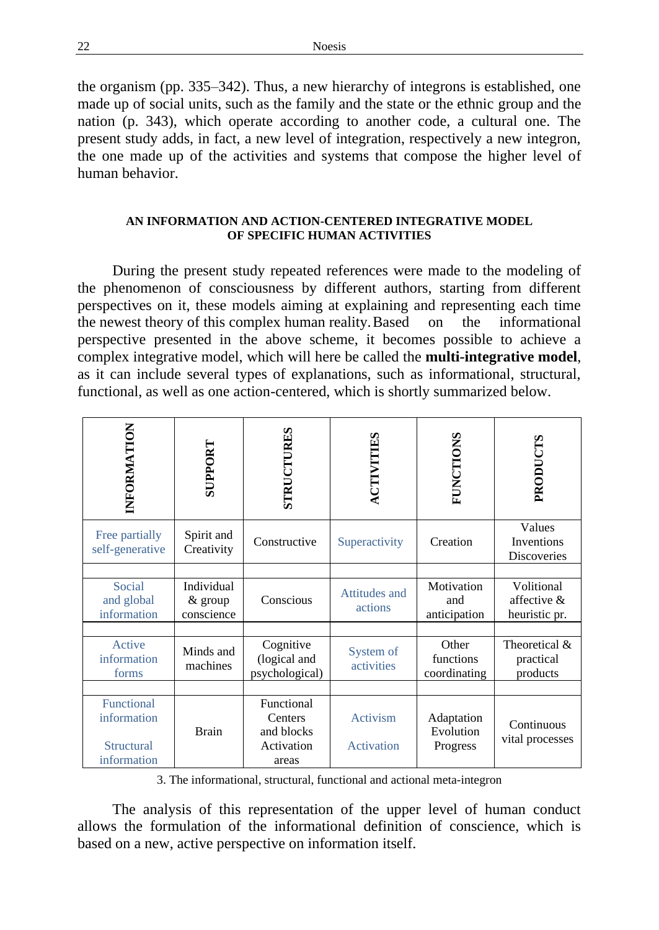the organism (pp. 335–342). Thus, a new hierarchy of integrons is established, one made up of social units, such as the family and the state or the ethnic group and the nation (p. 343), which operate according to another code, a cultural one. The present study adds, in fact, a new level of integration, respectively a new integron, the one made up of the activities and systems that compose the higher level of human behavior.

## **AN INFORMATION AND ACTION-CENTERED INTEGRATIVE MODEL OF SPECIFIC HUMAN ACTIVITIES**

During the present study repeated references were made to the modeling of the phenomenon of consciousness by different authors, starting from different perspectives on it, these models aiming at explaining and representing each time the newest theory of this complex human reality.Based on the informational perspective presented in the above scheme, it becomes possible to achieve a complex integrative model, which will here be called the **multi-integrative model**, as it can include several types of explanations, such as informational, structural, functional, as well as one action-centered, which is shortly summarized below.

| INFORMATION                                            | <b>SUPPORT</b>                      | <b>STRUCTURES</b>                                          | ACTIVITIES               | <b>FUNCTIONS</b>                    | PRODUCTS                                   |
|--------------------------------------------------------|-------------------------------------|------------------------------------------------------------|--------------------------|-------------------------------------|--------------------------------------------|
| Free partially<br>self-generative                      | Spirit and<br>Creativity            | Constructive                                               | Superactivity            | Creation                            | Values<br>Inventions<br>Discoveries        |
|                                                        |                                     |                                                            |                          |                                     |                                            |
| Social<br>and global<br>information                    | Individual<br>& group<br>conscience | Conscious                                                  | Attitudes and<br>actions | Motivation<br>and<br>anticipation   | Volitional<br>affective &<br>heuristic pr. |
|                                                        |                                     |                                                            |                          |                                     |                                            |
| Active<br>information<br>forms                         | Minds and<br>machines               | Cognitive<br>(logical and<br>psychological)                | System of<br>activities  | Other<br>functions<br>coordinating  | Theoretical &<br>practical<br>products     |
|                                                        |                                     |                                                            |                          |                                     |                                            |
| Functional<br>information<br>Structural<br>information | <b>Brain</b>                        | Functional<br>Centers<br>and blocks<br>Activation<br>areas | Activism<br>Activation   | Adaptation<br>Evolution<br>Progress | Continuous<br>vital processes              |

3. The informational, structural, functional and actional meta-integron

The analysis of this representation of the upper level of human conduct allows the formulation of the informational definition of conscience, which is based on a new, active perspective on information itself.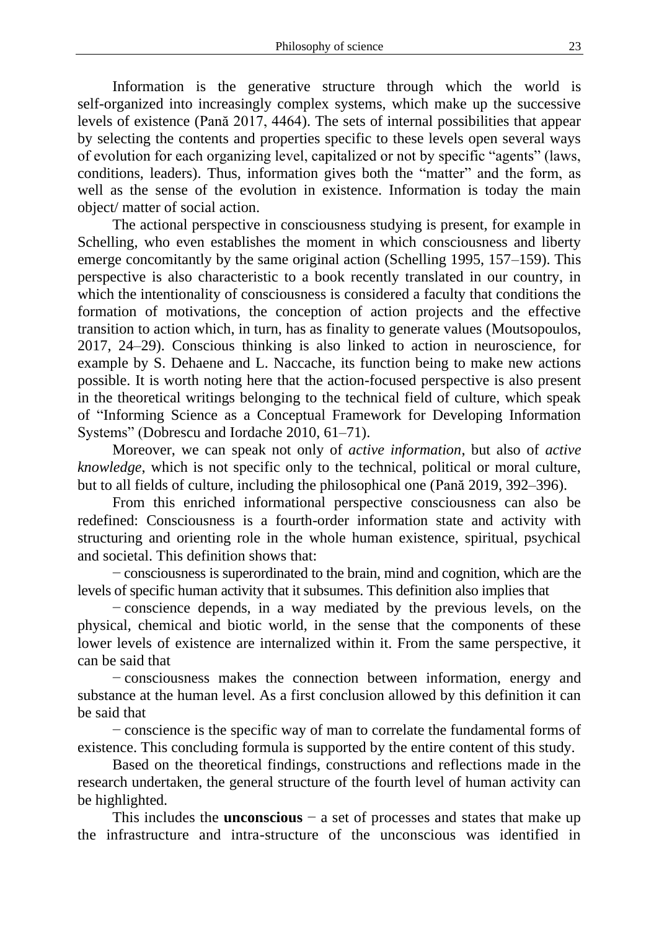Information is the generative structure through which the world is self-organized into increasingly complex systems, which make up the successive levels of existence (Pană 2017, 4464). The sets of internal possibilities that appear by selecting the contents and properties specific to these levels open several ways of evolution for each organizing level, capitalized or not by specific "agents" (laws, conditions, leaders). Thus, information gives both the "matter" and the form, as well as the sense of the evolution in existence. Information is today the main object/ matter of social action.

The actional perspective in consciousness studying is present, for example in Schelling, who even establishes the moment in which consciousness and liberty emerge concomitantly by the same original action (Schelling 1995, 157–159). This perspective is also characteristic to a book recently translated in our country, in which the intentionality of consciousness is considered a faculty that conditions the formation of motivations, the conception of action projects and the effective transition to action which, in turn, has as finality to generate values (Moutsopoulos, 2017, 24–29). Conscious thinking is also linked to action in neuroscience, for example by S. Dehaene and L. Naccache, its function being to make new actions possible. It is worth noting here that the action-focused perspective is also present in the theoretical writings belonging to the technical field of culture, which speak of "Informing Science as a Conceptual Framework for Developing Information Systems" (Dobrescu and Iordache 2010, 61–71).

Moreover, we can speak not only of *active information*, but also of *active knowledge*, which is not specific only to the technical, political or moral culture, but to all fields of culture, including the philosophical one (Pană 2019, 392–396).

From this enriched informational perspective consciousness can also be redefined: Consciousness is a fourth-order information state and activity with structuring and orienting role in the whole human existence, spiritual, psychical and societal. This definition shows that:

− consciousness is superordinated to the brain, mind and cognition, which are the levels of specific human activity that it subsumes. This definition also implies that

− conscience depends, in a way mediated by the previous levels, on the physical, chemical and biotic world, in the sense that the components of these lower levels of existence are internalized within it. From the same perspective, it can be said that

− consciousness makes the connection between information, energy and substance at the human level. As a first conclusion allowed by this definition it can be said that

− conscience is the specific way of man to correlate the fundamental forms of existence. This concluding formula is supported by the entire content of this study.

Based on the theoretical findings, constructions and reflections made in the research undertaken, the general structure of the fourth level of human activity can be highlighted.

This includes the **unconscious** − a set of processes and states that make up the infrastructure and intra-structure of the unconscious was identified in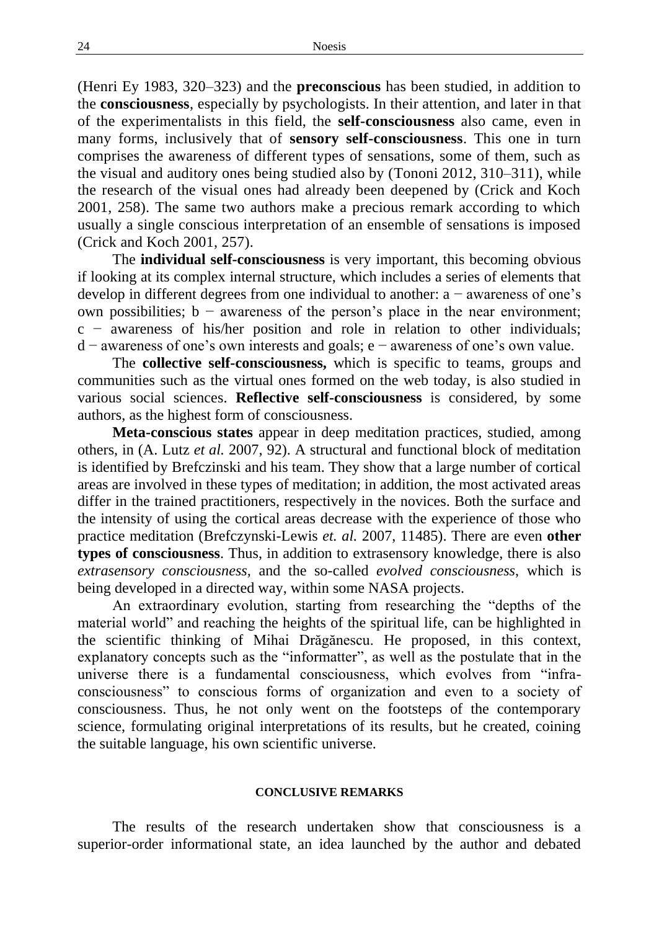(Henri Ey 1983, 320–323) and the **preconscious** has been studied, in addition to the **consciousness**, especially by psychologists. In their attention, and later in that of the experimentalists in this field, the **self-consciousness** also came, even in many forms, inclusively that of **sensory self-consciousness**. This one in turn comprises the awareness of different types of sensations, some of them, such as the visual and auditory ones being studied also by (Tononi 2012, 310–311), while the research of the visual ones had already been deepened by (Crick and Koch 2001, 258). The same two authors make a precious remark according to which usually a single conscious interpretation of an ensemble of sensations is imposed (Crick and Koch 2001, 257).

The **individual self-consciousness** is very important, this becoming obvious if looking at its complex internal structure, which includes a series of elements that develop in different degrees from one individual to another: a − awareness of one's own possibilities; b − awareness of the person's place in the near environment; c − awareness of his/her position and role in relation to other individuals; d − awareness of one's own interests and goals; e − awareness of one's own value.

The **collective self-consciousness,** which is specific to teams, groups and communities such as the virtual ones formed on the web today, is also studied in various social sciences. **Reflective self-consciousness** is considered, by some authors, as the highest form of consciousness.

**Meta-conscious states** appear in deep meditation practices, studied, among others, in (A. Lutz *et al.* 2007, 92). A structural and functional block of meditation is identified by Brefczinski and his team. They show that a large number of cortical areas are involved in these types of meditation; in addition, the most activated areas differ in the trained practitioners, respectively in the novices. Both the surface and the intensity of using the cortical areas decrease with the experience of those who practice meditation (Brefczynski-Lewis *et. al.* 2007, 11485). There are even **other types of consciousness**. Thus, in addition to extrasensory knowledge, there is also *extrasensory consciousness,* and the so-called *evolved consciousness*, which is being developed in a directed way, within some NASA projects.

An extraordinary evolution, starting from researching the "depths of the material world" and reaching the heights of the spiritual life, can be highlighted in the scientific thinking of Mihai Drăgănescu. He proposed, in this context, explanatory concepts such as the "informatter", as well as the postulate that in the universe there is a fundamental consciousness, which evolves from "infraconsciousness" to conscious forms of organization and even to a society of consciousness. Thus, he not only went on the footsteps of the contemporary science, formulating original interpretations of its results, but he created, coining the suitable language, his own scientific universe.

#### **CONCLUSIVE REMARKS**

The results of the research undertaken show that consciousness is a superior-order informational state, an idea launched by the author and debated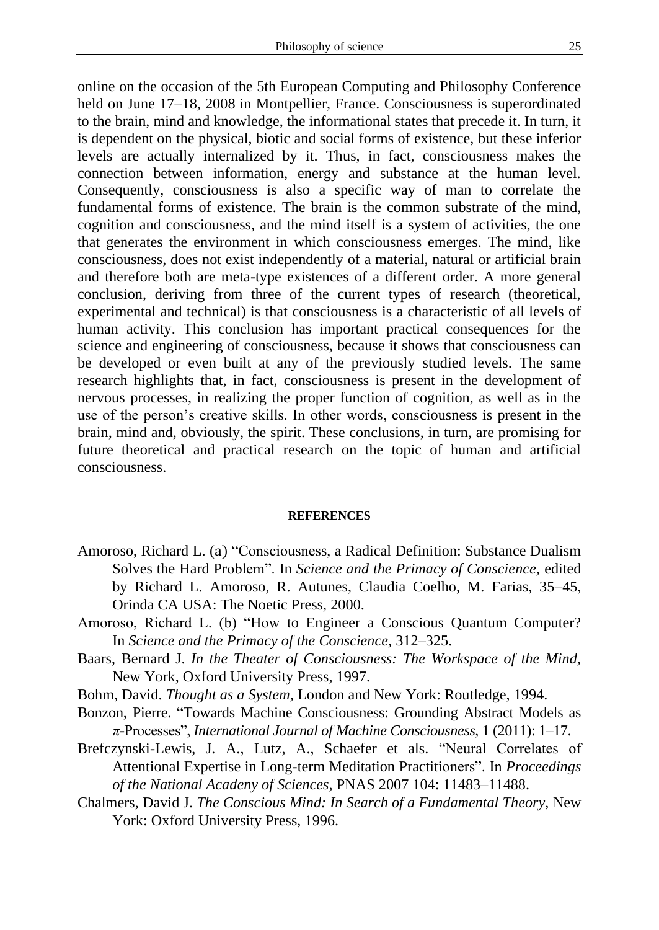online on the occasion of the 5th European Computing and Philosophy Conference held on June 17–18, 2008 in Montpellier, France. Consciousness is superordinated to the brain, mind and knowledge, the informational states that precede it. In turn, it is dependent on the physical, biotic and social forms of existence, but these inferior levels are actually internalized by it. Thus, in fact, consciousness makes the connection between information, energy and substance at the human level. Consequently, consciousness is also a specific way of man to correlate the fundamental forms of existence. The brain is the common substrate of the mind, cognition and consciousness, and the mind itself is a system of activities, the one that generates the environment in which consciousness emerges. The mind, like consciousness, does not exist independently of a material, natural or artificial brain and therefore both are meta-type existences of a different order. A more general conclusion, deriving from three of the current types of research (theoretical, experimental and technical) is that consciousness is a characteristic of all levels of human activity. This conclusion has important practical consequences for the science and engineering of consciousness, because it shows that consciousness can be developed or even built at any of the previously studied levels. The same research highlights that, in fact, consciousness is present in the development of nervous processes, in realizing the proper function of cognition, as well as in the use of the person's creative skills. In other words, consciousness is present in the brain, mind and, obviously, the spirit. These conclusions, in turn, are promising for future theoretical and practical research on the topic of human and artificial consciousness.

### **REFERENCES**

- Amoroso, Richard L. (a) "Consciousness, a Radical Definition: Substance Dualism Solves the Hard Problem". In *Science and the Primacy of Conscience,* edited by Richard L. Amoroso, R. Autunes, Claudia Coelho, M. Farias, 35–45, Orinda CA USA: The Noetic Press*,* 2000.
- Amoroso, Richard L. (b) "How to Engineer a Conscious Quantum Computer? In *Science and the Primacy of the Conscience,* 312–325.
- Baars, Bernard J. *In the Theater of Consciousness: The Workspace of the Mind,*  New York, Oxford University Press, 1997.
- Bohm, David. *Thought as a System,* London and New York: Routledge, 1994.
- Bonzon, Pierre. "Towards Machine Consciousness: Grounding Abstract Models as *π*-Processes", *International Journal of Machine Consciousness,* 1 (2011): 1–17.
- Brefczynski-Lewis, J. A., Lutz, A., Schaefer et als. "Neural Correlates of Attentional Expertise in Long-term Meditation Practitioners". In *Proceedings of the National Acadeny of Sciences,* PNAS 2007 104: 11483–11488.
- Chalmers, David J. *The Conscious Mind: In Search of a Fundamental Theory,* New York: Oxford University Press, 1996.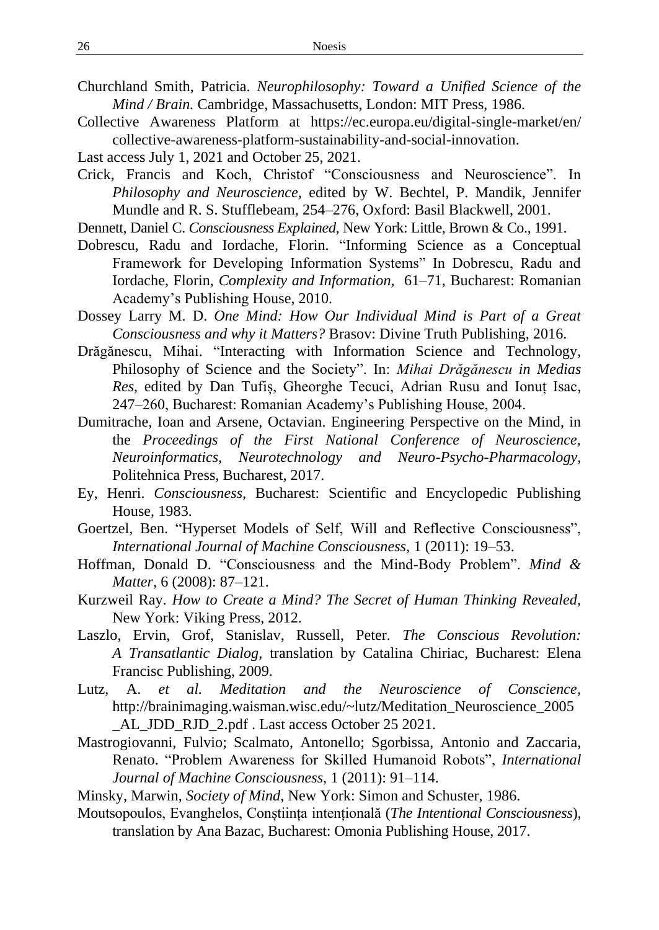- Churchland Smith, Patricia. *Neurophilosophy: Toward a Unified Science of the Mind / Brain.* Cambridge, Massachusetts, London: MIT Press, 1986.
- Collective Awareness Platform at https://ec.europa.eu/digital-single-market/en/ collective-awareness-platform-sustainability-and-social-innovation.
- Last access July 1, 2021 and October 25, 2021.
- Crick, Francis and Koch, Christof "Consciousness and Neuroscience". In *Philosophy and Neuroscience,* edited by W. Bechtel, P. Mandik, Jennifer Mundle and R. S. Stufflebeam, 254–276, Oxford: Basil Blackwell, 2001.
- Dennett, Daniel C. *Consciousness Explained,* New York: Little, Brown & Co., 1991.
- Dobrescu, Radu and Iordache, Florin. "Informing Science as a Conceptual Framework for Developing Information Systems" In Dobrescu, Radu and Iordache, Florin, *Complexity and Information,* 61–71, Bucharest: Romanian Academy's Publishing House, 2010.
- Dossey Larry M. D. *One Mind: How Our Individual Mind is Part of a Great Consciousness and why it Matters?* Brasov: Divine Truth Publishing, 2016.
- Drăgănescu, Mihai. "Interacting with Information Science and Technology, Philosophy of Science and the Society". In: *Mihai Drăgănescu in Medias Res*, edited by Dan Tufiș, Gheorghe Tecuci, Adrian Rusu and Ionuț Isac, 247–260, Bucharest: Romanian Academy's Publishing House, 2004.
- Dumitrache, Ioan and Arsene, Octavian. Engineering Perspective on the Mind, in the *Proceedings of the First National Conference of Neuroscience, Neuroinformatics, Neurotechnology and Neuro-Psycho-Pharmacology,* Politehnica Press, Bucharest, 2017.
- Ey, Henri. *Consciousness,* Bucharest: Scientific and Encyclopedic Publishing House, 1983.
- Goertzel, Ben. "Hyperset Models of Self, Will and Reflective Consciousness", *International Journal of Machine Consciousness,* 1 (2011): 19–53.
- Hoffman, Donald D. "Consciousness and the Mind-Body Problem". *Mind & Matter,* 6 (2008): 87–121.
- Kurzweil Ray. *How to Create a Mind? The Secret of Human Thinking Revealed,*  New York: Viking Press, 2012.
- Laszlo, Ervin, Grof, Stanislav, Russell, Peter. *The Conscious Revolution: A Transatlantic Dialog,* translation by Catalina Chiriac*,* Bucharest: Elena Francisc Publishing, 2009.
- Lutz, A. *et al. Meditation and the Neuroscience of Conscience,* http://brainimaging.waisman.wisc.edu/~lutz/Meditation\_Neuroscience\_2005 \_AL\_JDD\_RJD\_2.pdf . Last access October 25 2021.
- Mastrogiovanni, Fulvio; Scalmato, Antonello; Sgorbissa, Antonio and Zaccaria, Renato. "Problem Awareness for Skilled Humanoid Robots", *International Journal of Machine Consciousness,* 1 (2011): 91–114.
- Minsky, Marwin, *Society of Mind*, New York: Simon and Schuster, 1986.
- Moutsopoulos, Evanghelos, Conștiința intențională (*The Intentional Consciousness*)*,* translation by Ana Bazac, Bucharest: Omonia Publishing House, 2017.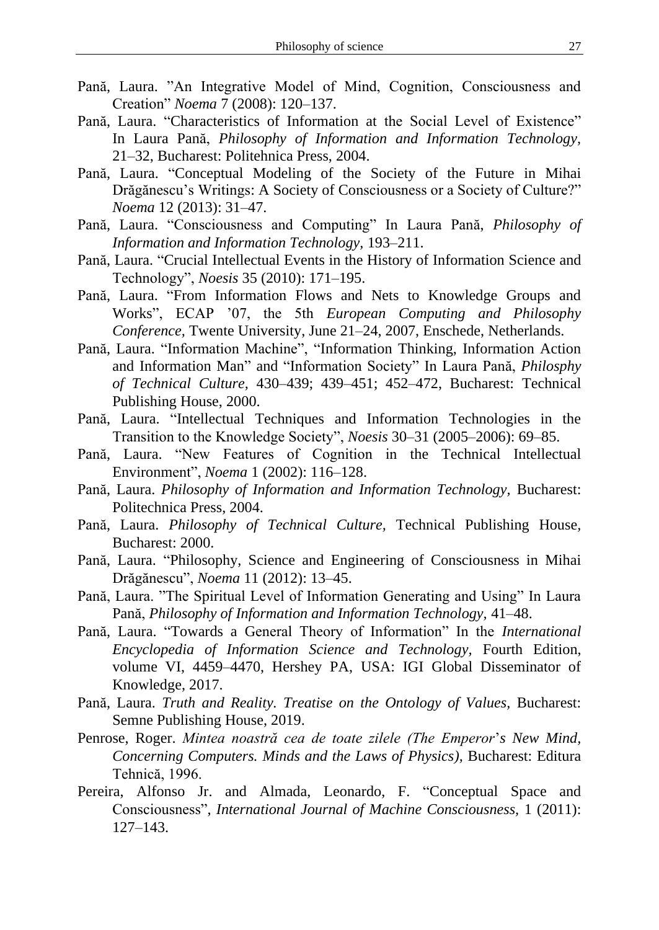- Pană, Laura. "An Integrative Model of Mind, Cognition, Consciousness and Creation" *Noema* 7 (2008): 120–137.
- Pană, Laura. "Characteristics of Information at the Social Level of Existence" In Laura Pană, *Philosophy of Information and Information Technology,* 21–32, Bucharest: Politehnica Press, 2004.
- Pană, Laura. "Conceptual Modeling of the Society of the Future in Mihai Drăgănescu's Writings: A Society of Consciousness or a Society of Culture?" *Noema* 12 (2013): 31–47.
- Pană, Laura. "Consciousness and Computing" In Laura Pană, *Philosophy of Information and Information Technology,* 193–211.
- Pană, Laura. "Crucial Intellectual Events in the History of Information Science and Technology", *Noesis* 35 (2010): 171–195.
- Pană, Laura. "From Information Flows and Nets to Knowledge Groups and Works", ECAP '07, the 5th *European Computing and Philosophy Conference,* Twente University, June 21–24, 2007, Enschede, Netherlands.
- Pană, Laura. "Information Machine", "Information Thinking, Information Action and Information Man" and "Information Society" In Laura Pană, *Philosphy of Technical Culture,* 430–439; 439–451; 452–472, Bucharest: Technical Publishing House, 2000.
- Pană, Laura. "Intellectual Techniques and Information Technologies in the Transition to the Knowledge Society", *Noesis* 30–31 (2005–2006): 69–85.
- Pană, Laura. "New Features of Cognition in the Technical Intellectual Environment", *Noema* 1 (2002): 116–128.
- Pană, Laura. *Philosophy of Information and Information Technology,* Bucharest: Politechnica Press, 2004.
- Pană, Laura. *Philosophy of Technical Culture,* Technical Publishing House*,*  Bucharest: 2000.
- Pană, Laura. "Philosophy, Science and Engineering of Consciousness in Mihai Drăgănescu", *Noema* 11 (2012): 13–45.
- Pană, Laura. "The Spiritual Level of Information Generating and Using" In Laura Pană, *Philosophy of Information and Information Technology,* 41–48.
- Pană, Laura. "Towards a General Theory of Information" In the *International Encyclopedia of Information Science and Technology,* Fourth Edition, volume VI, 4459–4470, Hershey PA, USA: IGI Global Disseminator of Knowledge, 2017.
- Pană, Laura. *Truth and Reality. Treatise on the Ontology of Values*, Bucharest: Semne Publishing House, 2019.
- Penrose, Roger. *Mintea noastră cea de toate zilele (The Emperor*'*s New Mind, Concerning Computers. Minds and the Laws of Physics),* Bucharest: Editura Tehnică, 1996.
- Pereira, Alfonso Jr. and Almada, Leonardo, F. "Conceptual Space and Consciousness", *International Journal of Machine Consciousness,* 1 (2011): 127–143.